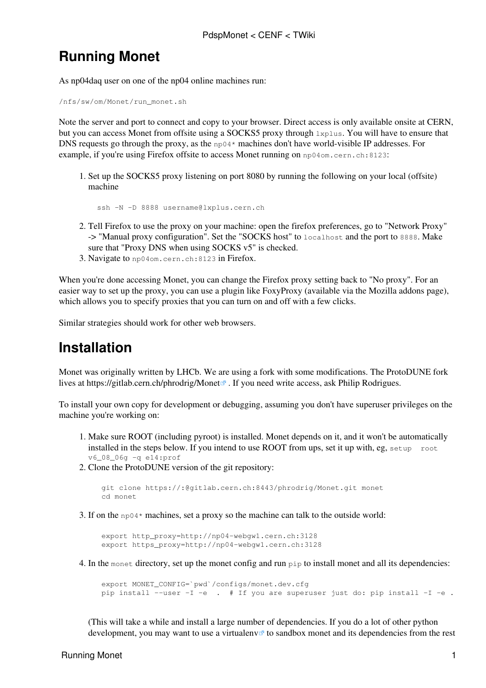## **Running Monet**

As np04daq user on one of the np04 online machines run:

/nfs/sw/om/Monet/run\_monet.sh

Note the server and port to connect and copy to your browser. Direct access is only available onsite at CERN, but you can access Monet from offsite using a SOCKS5 proxy through  $1_{\text{xpllus}}$ . You will have to ensure that DNS requests go through the proxy, as the  $np04*$  machines don't have world-visible IP addresses. For example, if you're using Firefox offsite to access Monet running on np04om.cern.ch:8123:

1. Set up the SOCKS5 proxy listening on port 8080 by running the following on your local (offsite) machine

```
ssh -N -D 8888 username@lxplus.cern.ch
```
- 2. Tell Firefox to use the proxy on your machine: open the firefox preferences, go to "Network Proxy" -> "Manual proxy configuration". Set the "SOCKS host" to localhost and the port to 8888. Make sure that "Proxy DNS when using SOCKS v5" is checked.
- 3. Navigate to np04om.cern.ch:8123 in Firefox.

When you're done accessing Monet, you can change the Firefox proxy setting back to "No proxy". For an easier way to set up the proxy, you can use a plugin like [FoxyProxy](https://twiki.cern.ch/twiki/bin/edit/CENF/FoxyProxy?topicparent=CENF.PdspMonet;nowysiwyg=1) (available via the Mozilla addons page), which allows you to specify proxies that you can turn on and off with a few clicks.

Similar strategies should work for other web browsers.

## **Installation**

Monet was originally written by LHCb. We are using a fork with some modifications. The [ProtoDUNE](https://twiki.cern.ch/twiki/bin/edit/CENF/ProtoDUNE?topicparent=CENF.PdspMonet;nowysiwyg=1) fork lives at<https://gitlab.cern.ch/phrodrig/Monet>. If you need write access, ask Philip Rodrigues.

To install your own copy for development or debugging, assuming you don't have superuser privileges on the machine you're working on:

- Make sure ROOT (including pyroot) is installed. Monet depends on it, and it won't be automatically 1. installed in the steps below. If you intend to use ROOT from ups, set it up with, eg, setup root v6\_08\_06g -q e14:prof
- 2. Clone the [ProtoDUNE](https://twiki.cern.ch/twiki/bin/edit/CENF/ProtoDUNE?topicparent=CENF.PdspMonet;nowysiwyg=1) version of the git repository:

```
 git clone https://:@gitlab.cern.ch:8443/phrodrig/Monet.git monet
cd monet
```
3. If on the  $np04*$  machines, set a proxy so the machine can talk to the outside world:

```
 export http_proxy=http://np04-webgw1.cern.ch:3128
export https_proxy=http://np04-webgw1.cern.ch:3128
```
4. In the monet directory, set up the monet config and run  $p$ ip to install monet and all its dependencies:

```
 export MONET_CONFIG=`pwd`/configs/monet.dev.cfg
pip install --user -I -e . # If you are superuser just do: pip install -I -e .
```
(This will take a while and install a large number of dependencies. If you do a lot of other python development, you may want to use a virtualenv $\mathcal{P}$  to sandbox monet and its dependencies from the rest